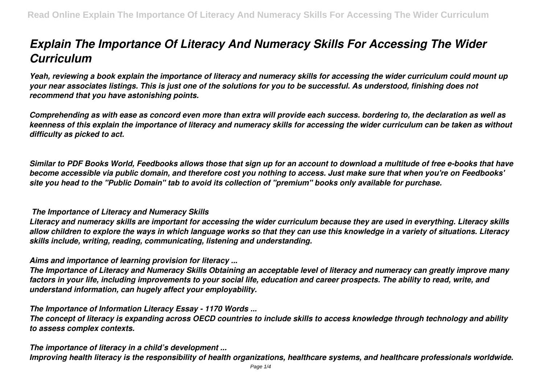# *Explain The Importance Of Literacy And Numeracy Skills For Accessing The Wider Curriculum*

*Yeah, reviewing a book explain the importance of literacy and numeracy skills for accessing the wider curriculum could mount up your near associates listings. This is just one of the solutions for you to be successful. As understood, finishing does not recommend that you have astonishing points.*

*Comprehending as with ease as concord even more than extra will provide each success. bordering to, the declaration as well as keenness of this explain the importance of literacy and numeracy skills for accessing the wider curriculum can be taken as without difficulty as picked to act.*

*Similar to PDF Books World, Feedbooks allows those that sign up for an account to download a multitude of free e-books that have become accessible via public domain, and therefore cost you nothing to access. Just make sure that when you're on Feedbooks' site you head to the "Public Domain" tab to avoid its collection of "premium" books only available for purchase.*

## *The Importance of Literacy and Numeracy Skills*

*Literacy and numeracy skills are important for accessing the wider curriculum because they are used in everything. Literacy skills allow children to explore the ways in which language works so that they can use this knowledge in a variety of situations. Literacy skills include, writing, reading, communicating, listening and understanding.*

# *Aims and importance of learning provision for literacy ...*

*The Importance of Literacy and Numeracy Skills Obtaining an acceptable level of literacy and numeracy can greatly improve many factors in your life, including improvements to your social life, education and career prospects. The ability to read, write, and understand information, can hugely affect your employability.*

# *The Importance of Information Literacy Essay - 1170 Words ...*

*The concept of literacy is expanding across OECD countries to include skills to access knowledge through technology and ability to assess complex contexts.*

## *The importance of literacy in a child's development ...*

*Improving health literacy is the responsibility of health organizations, healthcare systems, and healthcare professionals worldwide.*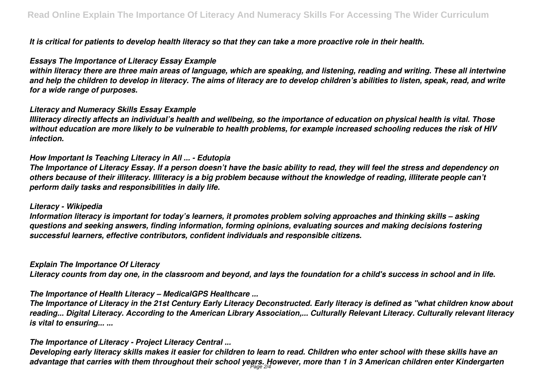*It is critical for patients to develop health literacy so that they can take a more proactive role in their health.*

## *Essays The Importance of Literacy Essay Example*

*within literacy there are three main areas of language, which are speaking, and listening, reading and writing. These all intertwine and help the children to develop in literacy. The aims of literacy are to develop children's abilities to listen, speak, read, and write for a wide range of purposes.*

## *Literacy and Numeracy Skills Essay Example*

*Illiteracy directly affects an individual's health and wellbeing, so the importance of education on physical health is vital. Those without education are more likely to be vulnerable to health problems, for example increased schooling reduces the risk of HIV infection.*

## *How Important Is Teaching Literacy in All ... - Edutopia*

*The Importance of Literacy Essay. If a person doesn't have the basic ability to read, they will feel the stress and dependency on others because of their illiteracy. Illiteracy is a big problem because without the knowledge of reading, illiterate people can't perform daily tasks and responsibilities in daily life.*

## *Literacy - Wikipedia*

*Information literacy is important for today's learners, it promotes problem solving approaches and thinking skills – asking questions and seeking answers, finding information, forming opinions, evaluating sources and making decisions fostering successful learners, effective contributors, confident individuals and responsible citizens.*

# *Explain The Importance Of Literacy*

*Literacy counts from day one, in the classroom and beyond, and lays the foundation for a child's success in school and in life.*

# *The Importance of Health Literacy – MedicalGPS Healthcare ...*

*The Importance of Literacy in the 21st Century Early Literacy Deconstructed. Early literacy is defined as "what children know about reading... Digital Literacy. According to the American Library Association,... Culturally Relevant Literacy. Culturally relevant literacy is vital to ensuring... ...*

# *The Importance of Literacy - Project Literacy Central ...*

*Developing early literacy skills makes it easier for children to learn to read. Children who enter school with these skills have an advantage that carries with them throughout their school years. However, more than 1 in 3 American children enter Kindergarten* Page 2/4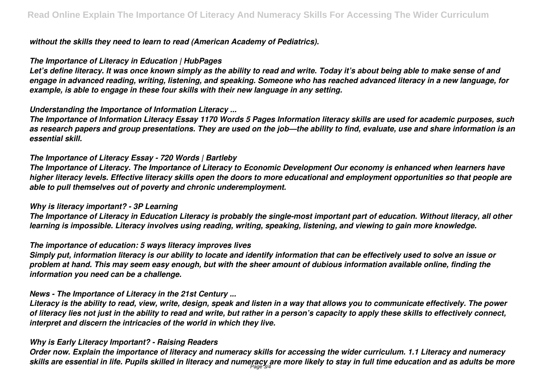*without the skills they need to learn to read (American Academy of Pediatrics).*

#### *The Importance of Literacy in Education | HubPages*

*Let's define literacy. It was once known simply as the ability to read and write. Today it's about being able to make sense of and engage in advanced reading, writing, listening, and speaking. Someone who has reached advanced literacy in a new language, for example, is able to engage in these four skills with their new language in any setting.*

## *Understanding the Importance of Information Literacy ...*

*The Importance of Information Literacy Essay 1170 Words 5 Pages Information literacy skills are used for academic purposes, such as research papers and group presentations. They are used on the job—the ability to find, evaluate, use and share information is an essential skill.*

## *The Importance of Literacy Essay - 720 Words | Bartleby*

*The Importance of Literacy. The Importance of Literacy to Economic Development Our economy is enhanced when learners have higher literacy levels. Effective literacy skills open the doors to more educational and employment opportunities so that people are able to pull themselves out of poverty and chronic underemployment.*

## *Why is literacy important? - 3P Learning*

*The Importance of Literacy in Education Literacy is probably the single-most important part of education. Without literacy, all other learning is impossible. Literacy involves using reading, writing, speaking, listening, and viewing to gain more knowledge.*

# *The importance of education: 5 ways literacy improves lives*

*Simply put, information literacy is our ability to locate and identify information that can be effectively used to solve an issue or problem at hand. This may seem easy enough, but with the sheer amount of dubious information available online, finding the information you need can be a challenge.*

## *News - The Importance of Literacy in the 21st Century ...*

*Literacy is the ability to read, view, write, design, speak and listen in a way that allows you to communicate effectively. The power of literacy lies not just in the ability to read and write, but rather in a person's capacity to apply these skills to effectively connect, interpret and discern the intricacies of the world in which they live.*

# *Why is Early Literacy Important? - Raising Readers*

*Order now. Explain the importance of literacy and numeracy skills for accessing the wider curriculum. 1.1 Literacy and numeracy skills are essential in life. Pupils skilled in literacy and numeracy are more likely to stay in full time education and as adults be more* Page 3/4